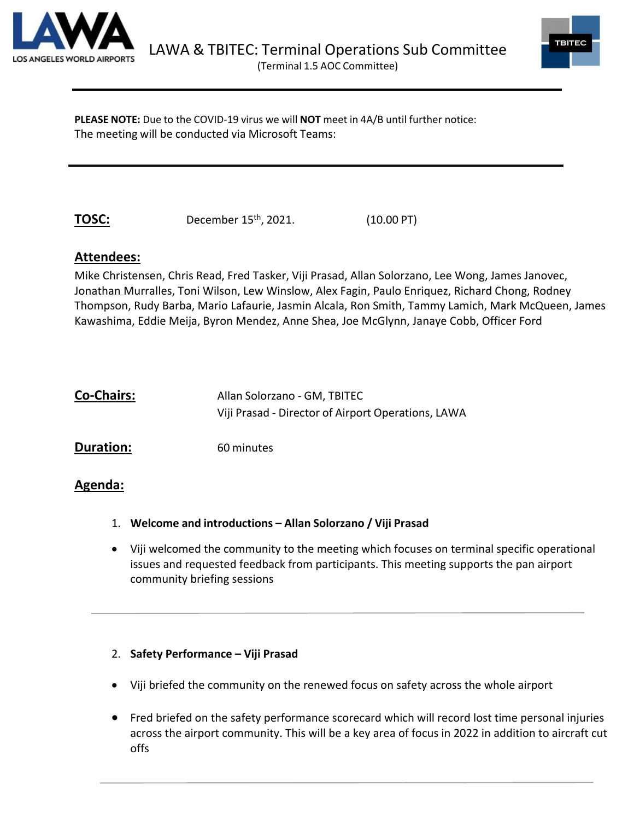



**PLEASE NOTE:** Due to the COVID-19 virus we will **NOT** meet in 4A/B until further notice: The meeting will be conducted via Microsoft Teams:

**TOSC:** December 15<sup>th</sup>, 2021. (10.00 PT)

# **Attendees:**

Mike Christensen, Chris Read, Fred Tasker, Viji Prasad, Allan Solorzano, Lee Wong, James Janovec, Jonathan Murralles, Toni Wilson, Lew Winslow, Alex Fagin, Paulo Enriquez, Richard Chong, Rodney Thompson, Rudy Barba, Mario Lafaurie, Jasmin Alcala, Ron Smith, Tammy Lamich, Mark McQueen, James Kawashima, Eddie Meija, Byron Mendez, Anne Shea, Joe McGlynn, Janaye Cobb, Officer Ford

| <b>Co-Chairs:</b> | Allan Solorzano - GM, TBITEC                       |
|-------------------|----------------------------------------------------|
|                   | Viji Prasad - Director of Airport Operations, LAWA |
| <b>Duration:</b>  | 60 minutes                                         |

# **Agenda:**

- 1. **Welcome and introductions – Allan Solorzano / Viji Prasad**
- Viji welcomed the community to the meeting which focuses on terminal specific operational issues and requested feedback from participants. This meeting supports the pan airport community briefing sessions

## 2. **Safety Performance – Viji Prasad**

- Viji briefed the community on the renewed focus on safety across the whole airport
- Fred briefed on the safety performance scorecard which will record lost time personal injuries across the airport community. This will be a key area of focus in 2022 in addition to aircraft cut offs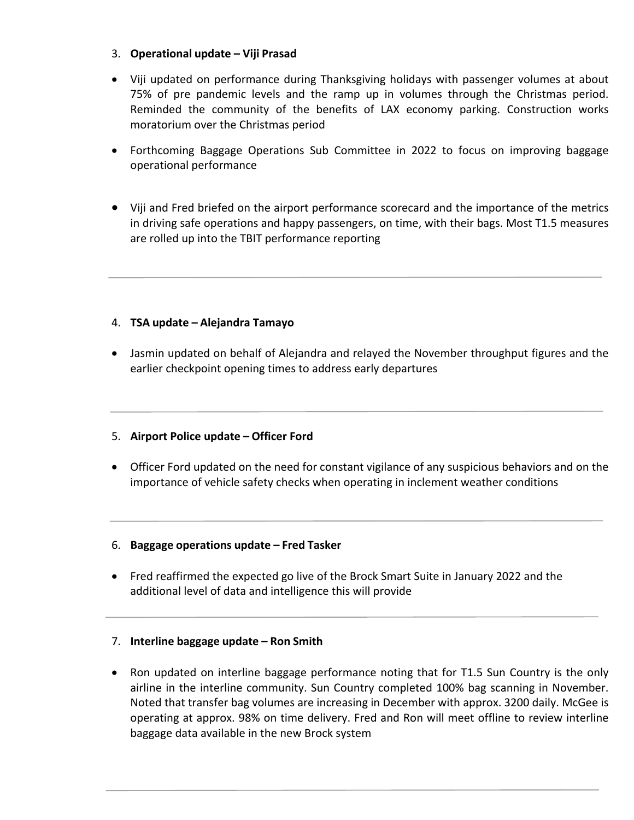### 3. **Operational update – Viji Prasad**

- Viji updated on performance during Thanksgiving holidays with passenger volumes at about 75% of pre pandemic levels and the ramp up in volumes through the Christmas period. Reminded the community of the benefits of LAX economy parking. Construction works moratorium over the Christmas period
- Forthcoming Baggage Operations Sub Committee in 2022 to focus on improving baggage operational performance
- Viji and Fred briefed on the airport performance scorecard and the importance of the metrics in driving safe operations and happy passengers, on time, with their bags. Most T1.5 measures are rolled up into the TBIT performance reporting

## 4. **TSA update – Alejandra Tamayo**

• Jasmin updated on behalf of Alejandra and relayed the November throughput figures and the earlier checkpoint opening times to address early departures

### 5. **Airport Police update – Officer Ford**

• Officer Ford updated on the need for constant vigilance of any suspicious behaviors and on the importance of vehicle safety checks when operating in inclement weather conditions

### 6. **Baggage operations update – Fred Tasker**

• Fred reaffirmed the expected go live of the Brock Smart Suite in January 2022 and the additional level of data and intelligence this will provide

### 7. **Interline baggage update – Ron Smith**

• Ron updated on interline baggage performance noting that for T1.5 Sun Country is the only airline in the interline community. Sun Country completed 100% bag scanning in November. Noted that transfer bag volumes are increasing in December with approx. 3200 daily. McGee is operating at approx. 98% on time delivery. Fred and Ron will meet offline to review interline baggage data available in the new Brock system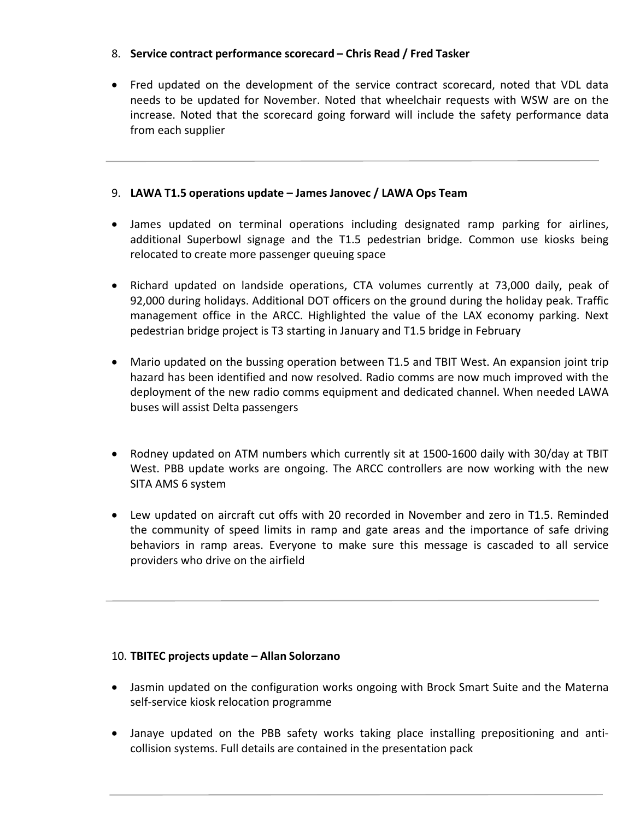## 8. **Service contract performance scorecard – Chris Read / Fred Tasker**

• Fred updated on the development of the service contract scorecard, noted that VDL data needs to be updated for November. Noted that wheelchair requests with WSW are on the increase. Noted that the scorecard going forward will include the safety performance data from each supplier

## 9. **LAWA T1.5 operations update – James Janovec / LAWA Ops Team**

- James updated on terminal operations including designated ramp parking for airlines, additional Superbowl signage and the T1.5 pedestrian bridge. Common use kiosks being relocated to create more passenger queuing space
- Richard updated on landside operations, CTA volumes currently at 73,000 daily, peak of 92,000 during holidays. Additional DOT officers on the ground during the holiday peak. Traffic management office in the ARCC. Highlighted the value of the LAX economy parking. Next pedestrian bridge project is T3 starting in January and T1.5 bridge in February
- Mario updated on the bussing operation between T1.5 and TBIT West. An expansion joint trip hazard has been identified and now resolved. Radio comms are now much improved with the deployment of the new radio comms equipment and dedicated channel. When needed LAWA buses will assist Delta passengers
- Rodney updated on ATM numbers which currently sit at 1500-1600 daily with 30/day at TBIT West. PBB update works are ongoing. The ARCC controllers are now working with the new SITA AMS 6 system
- Lew updated on aircraft cut offs with 20 recorded in November and zero in T1.5. Reminded the community of speed limits in ramp and gate areas and the importance of safe driving behaviors in ramp areas. Everyone to make sure this message is cascaded to all service providers who drive on the airfield

### 10. **TBITEC projects update – Allan Solorzano**

- Jasmin updated on the configuration works ongoing with Brock Smart Suite and the Materna self-service kiosk relocation programme
- Janaye updated on the PBB safety works taking place installing prepositioning and anticollision systems. Full details are contained in the presentation pack